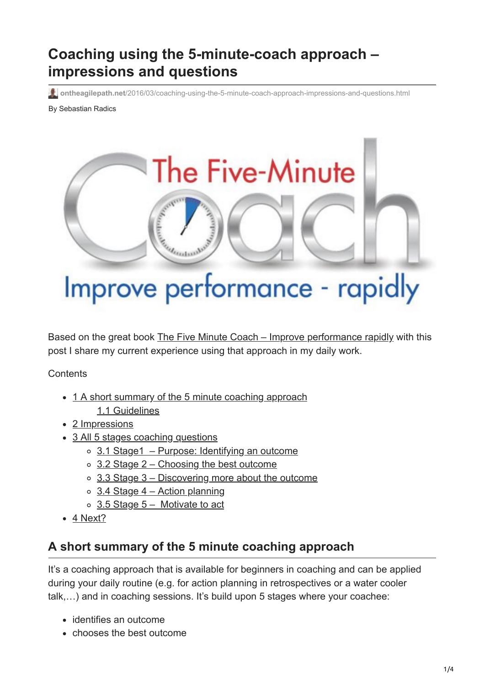# **Coaching using the 5-minute-coach approach – impressions and questions**

**ontheagilepath.net**[/2016/03/coaching-using-the-5-minute-coach-approach-impressions-and-questions.html](https://www.ontheagilepath.net/2016/03/coaching-using-the-5-minute-coach-approach-impressions-and-questions.html)

By Sebastian Radics



Based on the great book [The Five Minute Coach – Improve performance rapidly](http://www.amazon.com/The-Five-Minute-Coach-Performance/dp/1845908007) with this post I share my current experience using that approach in my daily work.

**Contents** 

- [1 A short summary of the 5 minute coaching approach](#page-0-0)
	- [1.1 Guidelines](#page-1-0)
- [2 Impressions](#page-1-1)
- [3 All 5 stages coaching questions](#page-2-0)
	- $\circ$  [3.1 Stage1 Purpose: Identifying an outcome](#page-2-1)
	- $\circ$  [3.2 Stage 2 Choosing the best outcome](#page-2-2)
	- $\circ$  [3.3 Stage 3 Discovering more about the outcome](#page-2-3)
	- $\circ$  [3.4 Stage 4 Action planning](#page-2-4)
	- [3.5 Stage 5 Motivate to act](#page-3-0)
- [4 Next?](#page-3-1)

# <span id="page-0-0"></span>**A short summary of the 5 minute coaching approach**

It's a coaching approach that is available for beginners in coaching and can be applied during your daily routine (e.g. for action planning in retrospectives or a water cooler talk,…) and in coaching sessions. It's build upon 5 stages where your coachee:

- identifies an outcome
- chooses the best outcome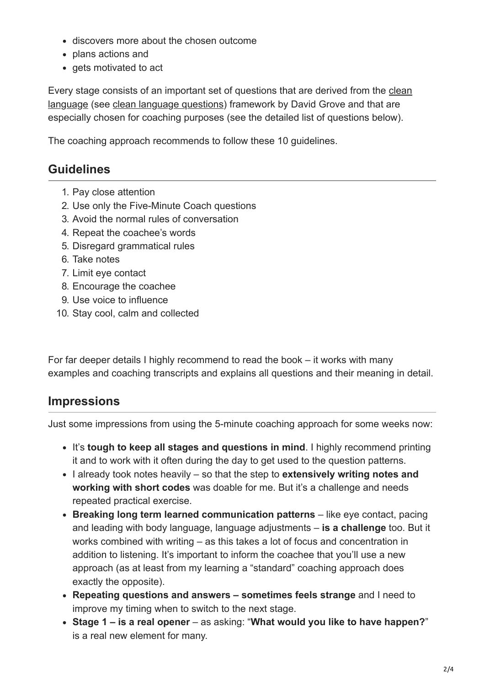- discovers more about the chosen outcome
- plans actions and
- gets motivated to act

[Every stage consists of an important set of questions that are derived from the clean](http://www.businessballs.com/clean_language.htm) language (see [clean language questions\)](http://e-russell.com/images/The_basic_clean_language_questions1.pdf) framework by David Grove and that are especially chosen for coaching purposes (see the detailed list of questions below).

The coaching approach recommends to follow these 10 guidelines.

#### <span id="page-1-0"></span>**Guidelines**

- 1. Pay close attention
- 2. Use only the Five-Minute Coach questions
- 3. Avoid the normal rules of conversation
- 4. Repeat the coachee's words
- 5. Disregard grammatical rules
- 6. Take notes
- 7. Limit eye contact
- 8. Encourage the coachee
- 9. Use voice to influence
- 10. Stay cool, calm and collected

For far deeper details I highly recommend to read the book – it works with many examples and coaching transcripts and explains all questions and their meaning in detail.

#### <span id="page-1-1"></span>**Impressions**

Just some impressions from using the 5-minute coaching approach for some weeks now:

- It's **tough to keep all stages and questions in mind**. I highly recommend printing it and to work with it often during the day to get used to the question patterns.
- I already took notes heavily so that the step to **extensively writing notes and working with short codes** was doable for me. But it's a challenge and needs repeated practical exercise.
- **Breaking long term learned communication patterns** like eye contact, pacing and leading with body language, language adjustments – **is a challenge** too. But it works combined with writing – as this takes a lot of focus and concentration in addition to listening. It's important to inform the coachee that you'll use a new approach (as at least from my learning a "standard" coaching approach does exactly the opposite).
- **Repeating questions and answers sometimes feels strange** and I need to improve my timing when to switch to the next stage.
- **Stage 1 is a real opener** as asking: "**What would you like to have happen?**" is a real new element for many.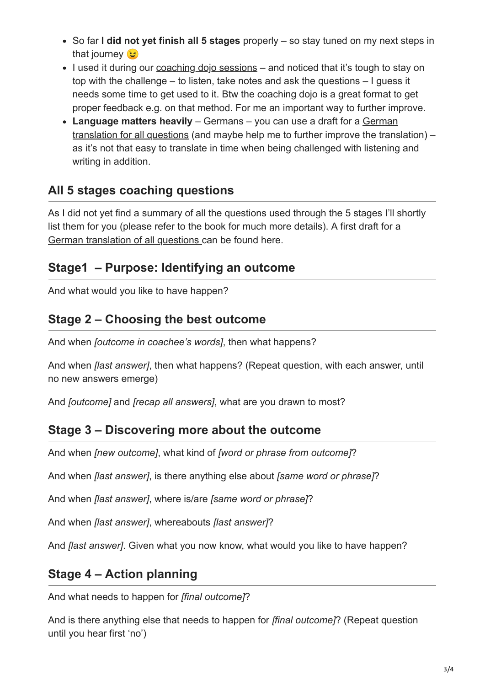- So far **I did not yet finish all 5 stages** properly so stay tuned on my next steps in that journey **b**
- I used it during our [coaching dojo sessions](http://www.ontheagilepath.net/2015/12/the-coach-reflection-day-coreday-2015-at-idealo-3-ways-to-improve-your-coaching-skills.html)  and noticed that it's tough to stay on top with the challenge – to listen, take notes and ask the questions – I guess it needs some time to get used to it. Btw the coaching dojo is a great format to get proper feedback e.g. on that method. For me an important way to further improve.
- **Language matters heavily** Germans you can use a draft for a German [translation for all questions \(and maybe help me to further improve the trans](https://docs.google.com/document/d/1HwQfDfiE0gqkQvw2Ga6dCTTEh0qoLGE4Y--D0aatoLo/edit?usp=sharing)lation) – as it's not that easy to translate in time when being challenged with listening and writing in addition.

# <span id="page-2-0"></span>**All 5 stages coaching questions**

As I did not yet find a summary of all the questions used through the 5 stages I'll shortly list them for you (please refer to the book for much more details). A first draft for a [German translation of all questions c](https://docs.google.com/document/d/1HwQfDfiE0gqkQvw2Ga6dCTTEh0qoLGE4Y--D0aatoLo/edit?usp=sharing)an be found here.

## <span id="page-2-1"></span>**Stage1 – Purpose: Identifying an outcome**

And what would you like to have happen?

## <span id="page-2-2"></span>**Stage 2 – Choosing the best outcome**

And when *[outcome in coachee's words]*, then what happens?

And when *[last answer]*, then what happens? (Repeat question, with each answer, until no new answers emerge)

And *[outcome]* and *[recap all answers]*, what are you drawn to most?

#### <span id="page-2-3"></span>**Stage 3 – Discovering more about the outcome**

And when *[new outcome]*, what kind of *[word or phrase from outcome]*?

And when *[last answer]*, is there anything else about *[same word or phrase]*?

And when *[last answer]*, where is/are *[same word or phrase]*?

And when *[last answer]*, whereabouts *[last answer]*?

And *[last answer]*. Given what you now know, what would you like to have happen?

# <span id="page-2-4"></span>**Stage 4 – Action planning**

And what needs to happen for *[final outcome]*?

And is there anything else that needs to happen for *[final outcome]*? (Repeat question until you hear first 'no')